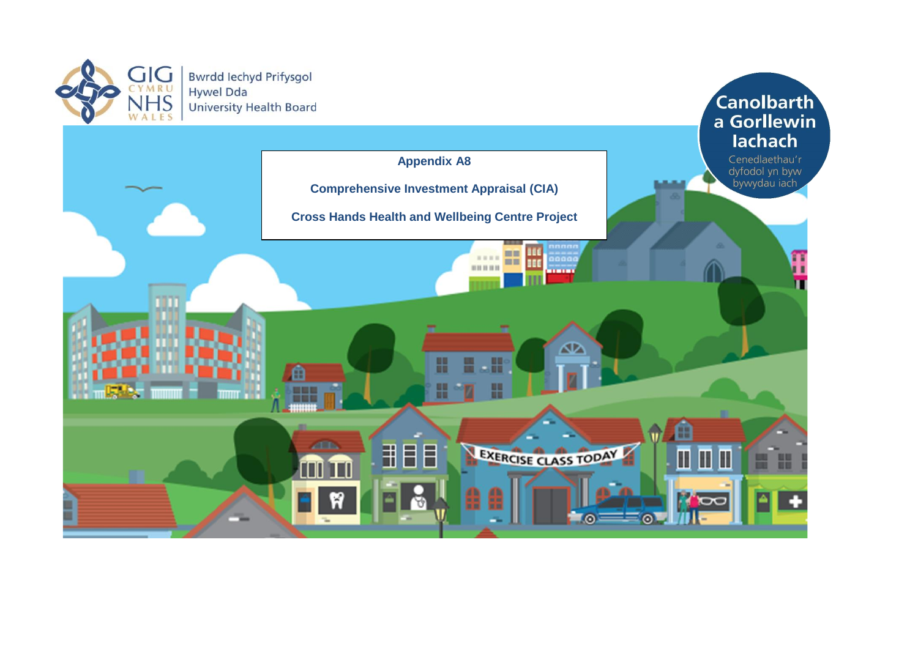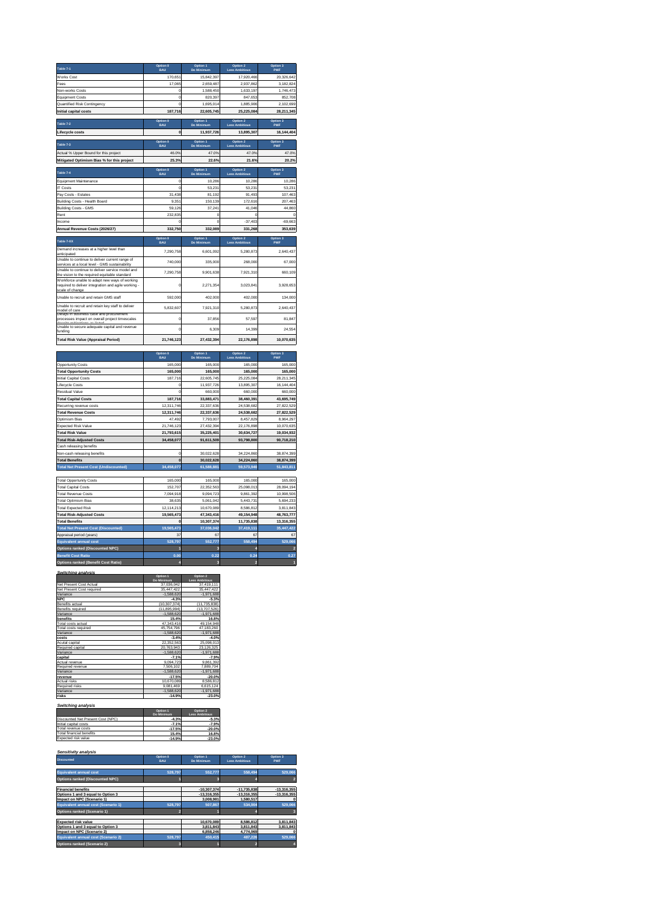| Table 7-1                                                                                                               | Option 0<br><b>BAU</b> | Option 1<br>Do Minimum | Option 2<br><b>Less Ambitious</b> | Option 3<br>PWF        |  |  |
|-------------------------------------------------------------------------------------------------------------------------|------------------------|------------------------|-----------------------------------|------------------------|--|--|
| Works Cost                                                                                                              | 170 651                | 15.842.397             | 17.920.466                        | 20.326.642             |  |  |
| Fees                                                                                                                    | 17.065                 | 2.659.487              | 2.937.862                         | 3.182.824              |  |  |
| Non-works Costs                                                                                                         | $\theta$               | 1.588.450              | 1.633.197                         | 1.746.473              |  |  |
| <b>Equipment Costs</b>                                                                                                  | $\mathbf 0$            | 820.397                | 847.653                           | 852,708                |  |  |
| Quantified Risk Contingency                                                                                             | $\theta$               | 1.695.014              | 1.885.906                         | 2.102.699              |  |  |
| Initial capital costs                                                                                                   | 187.716                | 22.605.745             | 25.225.084                        | 28.211.345             |  |  |
| Table 7-2                                                                                                               | Option 0<br>RAU        | Option 1<br>Do Minimum | Option 2<br><b>Less Ambitious</b> | Option 3<br>PWF        |  |  |
| Lifecycle costs                                                                                                         | $\mathbf{0}$           | 11.937.726             | 13,895,307                        | 16,144,404             |  |  |
| Table 7-3                                                                                                               | Option 0<br><b>BAU</b> | Option 1<br>Do Minimum | Option 2<br><b>Less Ambitious</b> | Option 3<br>PWF        |  |  |
| Actual % Upper Bound for this project                                                                                   | 46.0%                  | 47.0%                  | 47.0%                             | 47.0%                  |  |  |
| Mitigated Optimism Bias % for this project                                                                              | 25.3%                  | 22.6%                  | 21.6%                             | 20.2%                  |  |  |
| Table 7-4                                                                                                               | Option 0<br><b>BAU</b> | Option 1<br>Do Minimum | Option 2<br><b>Less Ambitious</b> | Option 3<br>PWF        |  |  |
| <b>Equipment Maintenance</b>                                                                                            | 0                      | 10.286                 | 10.286                            | 10.286                 |  |  |
| <b>IT Costs</b>                                                                                                         | $\theta$               | 53.231                 | 53.231                            | 53.231                 |  |  |
| Pay Costs - Estates                                                                                                     | 31.438                 | 81.192                 | 91.493                            | 107.463                |  |  |
| Building Costs - Health Board                                                                                           | 9 351                  | 150.139                | 172.616                           | 207,463                |  |  |
| <b>Building Costs - GMS</b>                                                                                             | 59 126                 | 37 241                 | 41.046                            | 44.860                 |  |  |
| Rent                                                                                                                    | 232 835                | $\Omega$               | o                                 | $\Omega$               |  |  |
| Income                                                                                                                  | $\theta$               | $\circ$                | $-37,403$                         | $-69.663$              |  |  |
| Annual Revenue Costs (2026/27)                                                                                          | 332.750                | 332,089                | 331.268                           | 353,639                |  |  |
| Table 7-XX                                                                                                              | Option 0<br>RAU        | Option 1<br>Do Minimum | Option 2<br><b>Less Ambitious</b> | Option 3<br><b>PWF</b> |  |  |
| Demand increases at a higher level than<br>anticipated                                                                  | 7.290.758              | 6.601.092              | 5.280.873                         | 2.640.437              |  |  |
| Unable to continue to deliver current range of<br>services at a local level - GMS sustainability                        | 740.000                | 335.000                | 268,000                           | 67,000                 |  |  |
| Unable to continue to deliver service model and<br>the vision to the required equitable standard                        | 7.290.758              | 9.901.638              | 7.921.310                         | 660.109                |  |  |
| Workforce unable to adapt new ways of working<br>required to deliver integration and agile working -<br>scale of change | $\mathbf 0$            | 2.271.354              | 3.023.841                         | 3.928.653              |  |  |
| Unable to recruit and retain GMS staff                                                                                  | 592.000                | 402.000                | 402.000                           | 134,000                |  |  |
| Unable to recruit and retain key staff to deliver<br>model of care                                                      | 5.832.607              | 7.921.310              | 5.280.873                         | 2.640.437              |  |  |
| Delays in business case and procurement<br>processes impact on overall project timescales                               | $\mathbf 0$            | 37,856                 | 57.597                            | 81.847                 |  |  |
| Unable to secure adequate capital and revenue<br>funding                                                                | $\theta$               | 6.309                  | 14.399                            | 24.554                 |  |  |
| <b>Total Risk Value (Appraisal Period)</b>                                                                              | 21,746,123             | 27,432,394             | 22,176,898                        | 10,070,635             |  |  |

|                                              | Option 0<br><b>BAU</b> | Option 1<br>Do Minimum | Option 2<br><b>Less Ambitious</b> | Option 3<br><b>PWF</b> |
|----------------------------------------------|------------------------|------------------------|-----------------------------------|------------------------|
| Opportunity Costs                            | 165,000                | 165,000                | 165,000                           | 165,000                |
| <b>Total Opportunity Costs</b>               | 165,000                | 165,000                | 165,000                           | 165,000                |
| Initial Capital Costs                        | 187.716                | 22.605.745             | 25.225.084                        | 28,211,345             |
| Lifecycle Costs                              | $\Omega$               | 11.937.726             | 13.895.307                        | 16.144.404             |
| Residual Value                               | $\Omega$               | 660,000                | 660,000                           | 660,000                |
| <b>Total Capital Costs</b>                   | 187,716                | 33,883,471             | 38.460.391                        | 43.695.749             |
| Recurring revenue costs                      | 12,311,746             | 22,337,636             | 24.538.682                        | 27,822,529             |
| <b>Total Revenue Costs</b>                   | 12,311,746             | 22,337,636             | 24.538.682                        | 27,822,529             |
| Optimism Bias                                | 47.492                 | 7.793.007              | 8.457.829                         | 8,964,297              |
| <b>Expected Risk Value</b>                   | 21.746.123             | 27.432.394             | 22.176.898                        | 10.070.635             |
| <b>Total Risk Value</b>                      | 21,793,615             | 35,225,401             | 30,634,727                        | 19,034,932             |
| <b>Total Risk-Adiusted Costs</b>             | 34.458.077             | 91.611.509             | 93,798,800                        | 90.718.210             |
| Cash releasing benefits                      |                        |                        |                                   |                        |
| Non-cash releasing benefits                  | $\mathbf 0$            | 30.022.628             | 34.224.860                        | 38.874.399             |
| <b>Total Benefits</b>                        | $\Omega$               | 30,022,628             | 34,224,860                        | 38,874,399             |
| <b>Total Net Present Cost (Undiscounted)</b> | 34.458.077             | 61.588.881             | 59.573.940                        | 51,843,811             |
|                                              |                        |                        |                                   |                        |
| <b>Total Opportunity Costs</b>               | 165,000                | 165,000                | 165,000                           | 165,000                |
| <b>Total Capital Costs</b>                   | 152.707                | 22.352.563             | 25.098.013                        | 28.094.194             |
| <b>Total Revenue Costs</b>                   | 7.094.918              | 9.094.723              | 9.861.392                         | 10.998.506             |
| <b>Total Optimism Bias</b>                   | 38.635                 | 5.061.042              | 5.443.731                         | 5.694.233              |
| <b>Total Expected Risk</b>                   | 12.114.213             | 10.670.089             | 8.586.812                         | 3.811.843              |
| <b>Total Risk-Adiusted Costs</b>             | 19,565,473             | 47,343,416             | 49.154.948                        | 48.763.777             |
| <b>Total Benefits</b>                        | $\Omega$               | 10,307,374             | 11,735,838                        | 13,316,355             |
| <b>Total Net Present Cost (Discounted)</b>   | 19,565,473             | 37,036,042             | 37,419,111                        | 35,447,422             |
| Appraisal period (years)                     | 37                     | 67                     | 67                                | 67                     |
| <b>Equivalent annual cost</b>                | 528.797                | 552,777                | 558.494                           | 529.066                |
| <b>Options ranked (Discounted NPC)</b>       | п                      |                        |                                   | 2                      |
| <b>Benefit Cost Ratio</b>                    | 0.00                   | 0.22                   | 0.24                              | 0.27                   |
| <b>Options ranked (Benefit Cost Ratio)</b>   | л                      | 3                      | $\overline{2}$                    |                        |

### *Switching analysis*

|                           | Option 1<br>Do Minimum | Option 2<br><b>Less Ambitious</b> |
|---------------------------|------------------------|-----------------------------------|
| Net Present Cost Actual   | 37.036.042             | 37.419.111                        |
| Net Present Cost required | 35,447,422             | 35.447.422                        |
| Variance                  | $-1.588.620$           | $-1,971,688$                      |
| <b>NPC</b>                | $-4.3%$                | $-5.3%$                           |
| Benefits actual           | (10.307.374)           | (11, 735, 838)                    |
| Benefits required         | (11.895.994)           | (13.707.526)                      |
| Variance                  | $-1.588.620$           | $-1.971.688$                      |
| benefits                  | 15.4%                  | 16.8%                             |
| Total costs actual        | 47,343,416             | 49.154.948                        |
| Total costs required      | 45,754,796             | 47,183,260                        |
| Variance                  | $-1.588.620$           | $-1,971,688$                      |
| costs                     | $-3.4%$                | $-4.0%$                           |
| Acutal capital            | 22.352.563             | 25,098,013                        |
| Required capital          | 20,763,943             | 23.126.325                        |
| Variance                  | $-1.588.620$           | $-1,971,688$                      |
| capital                   | $-7.1%$                | $-7.9%$                           |
| Actual revenue            | 9.094.723              | 9,861,392                         |
| Required revenue          | 7,506,102              | 7.889.704                         |
| Variance                  | $-1,588,620$           | $-1.971.688$                      |
| revenue                   | $-17.5%$               | $-20.0%$                          |
| Actual risks              | 10.670.089             | 8.586.812                         |
| Required risks            | 9.081.469              | 6.615.124                         |
| Variance                  | $-1,588,620$           | $-1.971.688$                      |

#### *Switching analysis*

|                                   | Option 1<br>Do Minimum | Option 2<br><b>Less Ambitious</b> |
|-----------------------------------|------------------------|-----------------------------------|
| Discounted Net Present Cost (NPC) | $-4.3%$                | $-5.3%$                           |
| Initial capital costs             | $-7.1%$                | $-7.9%$                           |
| Total revenue costs               | $-17.5%$               | $-20.0%$                          |
| <b>Total financial benefits</b>   | 15.4%                  | 16.8%                             |
| Expected risk value               | $-14.9%$               | $-23.0%$                          |
|                                   |                        |                                   |

**risks -14.9% -23.0%**

| <b>Sensitivity analysis</b>            |                        |                        |                                   |                 |
|----------------------------------------|------------------------|------------------------|-----------------------------------|-----------------|
| <b>Discounted</b>                      | Option 0<br><b>BAU</b> | Option 1<br>Do Minimum | Option 2<br><b>Less Ambitious</b> | Option 3<br>PWF |
|                                        |                        |                        |                                   |                 |
| <b>Equivalent annual cost</b>          | 528.797                | 552,777                | 558.494                           | 529.066         |
| <b>Options ranked (Discounted NPC)</b> |                        |                        |                                   |                 |
|                                        |                        |                        |                                   |                 |
| <b>Financial benefits</b>              |                        | $-10.307.374$          | $-11.735.838$                     | $-13.316.355$   |
| Options 1 and 3 equal to Option 3      |                        | $-13.316.355$          | $-13.316.355$                     | $-13,316,355$   |
| Impact on NPC (Scenario 1)             |                        | 3.008.981              | 1.580.517                         |                 |
| Equivalent annual cost (Scenario 1)    | 528.797                | 507.867                | 534.904                           | 529.066         |
| Options ranked (Scenario 1)            |                        |                        |                                   |                 |
|                                        |                        |                        |                                   |                 |
| <b>Expected risk value</b>             |                        | 10.670.089             | 8,586,812                         | 3.811.843       |
| Options 1 and 3 equal to Option 3      |                        | 3.811.843              | 3.811.843                         | 3.811.843       |
| Impact on NPC (Scenario 2)             |                        | 6.858.246              | 4.774.969                         |                 |
| Equivalent annual cost (Scenario 2)    | 528.797                | 450.415                | 487.226                           | 529.066         |
| Options ranked (Scenario 2)            |                        |                        |                                   |                 |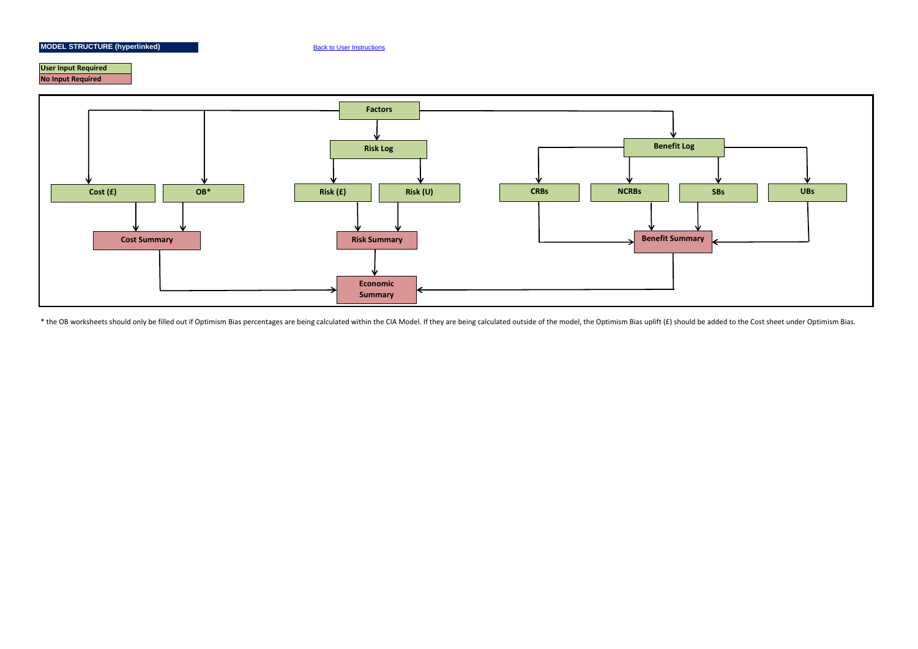# **User Input Required**

**No Input Required**

## **MODEL STRUCTURE (hyperlinked)**

**Back to User Instructions** 



\* the OB worksheets should only be filled out if Optimism Bias percentages are being calculated within the CIA Model. If they are being calculated outside of the model, the Optimism Bias uplift (£) should be added to the C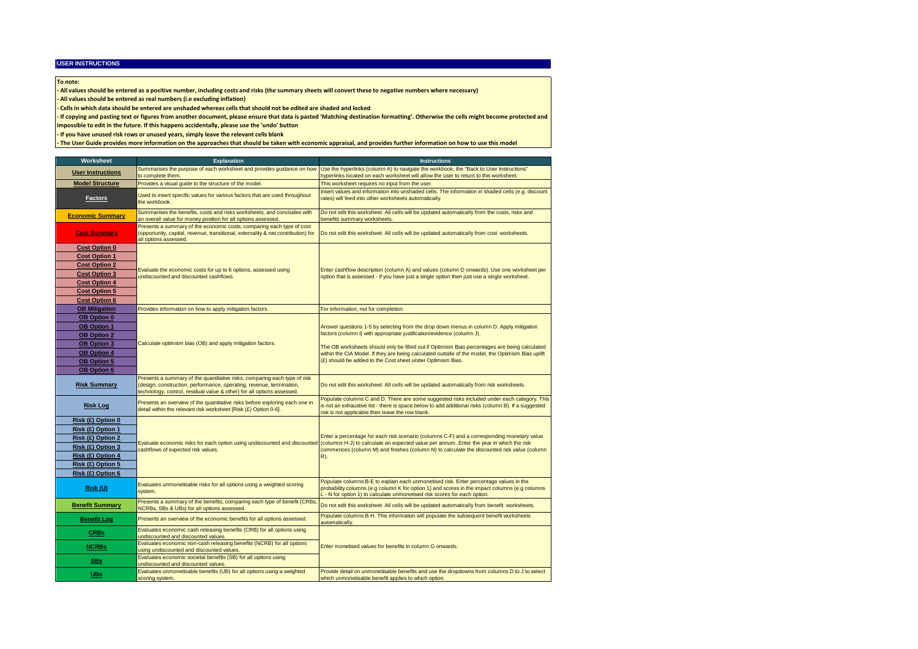#### **USER INSTRUCTIONS**

**To note:**

**- All values should be entered as a positive number, including costs and risks (the summary sheets will convert these to negative numbers where necessary) - All values should be entered as real numbers (i.e excluding inflation)**

**- Cells in which data should be entered are unshaded whereas cells that should not be edited are shaded and locked**

**- If copying and pasting text or figures from another document, please ensure that data is pasted 'Matching destination formatting'. Otherwise the cells might become protected and** 

**impossible to edit in the future. If this happens accidentally, please use the 'undo' button**

**- If you have unused risk rows or unused years, simply leave the relevant cells blank**

**- The User Guide provides more information on the approaches that should be taken with economic appraisal, and provides further information on how to use this model**

| Worksheet                | <b>Explanation</b>                                                                                                                                                                                                          | <b>Instructions</b>                                                                                                                                                                                                                                                 |  |  |  |  |  |  |  |
|--------------------------|-----------------------------------------------------------------------------------------------------------------------------------------------------------------------------------------------------------------------------|---------------------------------------------------------------------------------------------------------------------------------------------------------------------------------------------------------------------------------------------------------------------|--|--|--|--|--|--|--|
| <b>User Instructions</b> | Summarises the purpose of each worksheet and provides guidance on how<br>to complete them.                                                                                                                                  | Use the hyperlinks (column A) to navigate the workbook; the "Back to User Instructions"<br>hyperlinks located on each worksheet will allow the user to return to this worksheet.                                                                                    |  |  |  |  |  |  |  |
| <b>Model Structure</b>   | Provides a visual quide to the structure of the model.                                                                                                                                                                      | This worksheet requires no input from the user.                                                                                                                                                                                                                     |  |  |  |  |  |  |  |
| <b>Factors</b>           | Used to insert specific values for various factors that are used throughout<br>the workbook.                                                                                                                                | Insert values and information into unshaded cells. The information in shaded cells (e.g. discount<br>rates) will feed into other worksheets automatically.                                                                                                          |  |  |  |  |  |  |  |
| <b>Economic Summary</b>  | Summarises the benefits, costs and risks worksheets, and concludes with<br>an overall value for money position for all options assessed.                                                                                    | Do not edit this worksheet. All cells will be updated automatically from the costs, risks and<br>benefits summary worksheets.                                                                                                                                       |  |  |  |  |  |  |  |
| <b>Cost Summary</b>      | Presents a summary of the economic costs, comparing each type of cost<br>(opportunity, capital, revenue, transitional, externality & net contribution) for<br>all options assessed.                                         | Do not edit this worksheet. All cells will be updated automatically from cost worksheets.                                                                                                                                                                           |  |  |  |  |  |  |  |
| <b>Cost Option 0</b>     |                                                                                                                                                                                                                             |                                                                                                                                                                                                                                                                     |  |  |  |  |  |  |  |
| <b>Cost Option 1</b>     |                                                                                                                                                                                                                             |                                                                                                                                                                                                                                                                     |  |  |  |  |  |  |  |
| <b>Cost Option 2</b>     | Evaluate the economic costs for up to 6 options, assessed using                                                                                                                                                             | Enter cashflow description (column A) and values (column D onwards). Use one worksheet per                                                                                                                                                                          |  |  |  |  |  |  |  |
| <b>Cost Option 3</b>     | undiscounted and discounted cashflows.                                                                                                                                                                                      | option that is assessed - if you have just a single option then just use a single worksheet.                                                                                                                                                                        |  |  |  |  |  |  |  |
| <b>Cost Option 4</b>     |                                                                                                                                                                                                                             |                                                                                                                                                                                                                                                                     |  |  |  |  |  |  |  |
| <b>Cost Option 5</b>     |                                                                                                                                                                                                                             |                                                                                                                                                                                                                                                                     |  |  |  |  |  |  |  |
| <b>Cost Option 6</b>     |                                                                                                                                                                                                                             |                                                                                                                                                                                                                                                                     |  |  |  |  |  |  |  |
| <b>OB Mitigation</b>     | Provides information on how to apply mitigation factors.                                                                                                                                                                    | For information, not for completion.                                                                                                                                                                                                                                |  |  |  |  |  |  |  |
| <b>OB Option 0</b>       |                                                                                                                                                                                                                             |                                                                                                                                                                                                                                                                     |  |  |  |  |  |  |  |
| <b>OB Option 1</b>       |                                                                                                                                                                                                                             | Answer questions 1-5 by selecting from the drop down menus in column D. Apply mitigation                                                                                                                                                                            |  |  |  |  |  |  |  |
| <b>OB Option 2</b>       |                                                                                                                                                                                                                             | factors (column I) with appropriate justification/evidence (column J).                                                                                                                                                                                              |  |  |  |  |  |  |  |
| OB Option 3              | Calculate optimism bias (OB) and apply mitigation factors.                                                                                                                                                                  | The OB worksheets should only be filled out if Optimism Bias percentages are being calculated                                                                                                                                                                       |  |  |  |  |  |  |  |
| <b>OB Option 4</b>       |                                                                                                                                                                                                                             | within the CIA Model. If they are being calculated outside of the model, the Optimism Bias uplift                                                                                                                                                                   |  |  |  |  |  |  |  |
| <b>OB Option 5</b>       |                                                                                                                                                                                                                             | (£) should be added to the Cost sheet under Optimism Bias.                                                                                                                                                                                                          |  |  |  |  |  |  |  |
| <b>OB Option 6</b>       |                                                                                                                                                                                                                             |                                                                                                                                                                                                                                                                     |  |  |  |  |  |  |  |
| <b>Risk Summary</b>      | Presents a summary of the quantitative risks, comparing each type of risk<br>(design, construction, performance, operating, revenue, termination,<br>technology, control, residual value & other) for all options assessed. | Do not edit this worksheet. All cells will be updated automatically from risk worksheets.                                                                                                                                                                           |  |  |  |  |  |  |  |
| <b>Risk Log</b>          | Presents an overview of the quantitative risks before exploring each one in<br>detail within the relevant risk worksheet [Risk (£) Option 0-6].                                                                             | Populate columns C and D. There are some suggested risks included under each category. This<br>is not an exhaustive list - there is space below to add additional risks (column B). If a suggested<br>risk is not applicable then leave the row blank.              |  |  |  |  |  |  |  |
| Risk (£) Option 0        |                                                                                                                                                                                                                             |                                                                                                                                                                                                                                                                     |  |  |  |  |  |  |  |
| Risk (£) Option 1        |                                                                                                                                                                                                                             |                                                                                                                                                                                                                                                                     |  |  |  |  |  |  |  |
| Risk (£) Option 2        |                                                                                                                                                                                                                             | Enter a percentage for each risk scenario (columns C-F) and a corresponding monetary value                                                                                                                                                                          |  |  |  |  |  |  |  |
| Risk (£) Option 3        | Evaluate economic risks for each option using undiscounted and discounted<br>cashflows of expected risk values.                                                                                                             | (columns H-J) to calculate an expected value per annum. Enter the year in which the risk<br>commences (column M) and finishes (column N) to calculate the discounted risk value (column                                                                             |  |  |  |  |  |  |  |
| Risk (£) Option 4        |                                                                                                                                                                                                                             | $R$ ).                                                                                                                                                                                                                                                              |  |  |  |  |  |  |  |
| Risk (£) Option 5        |                                                                                                                                                                                                                             |                                                                                                                                                                                                                                                                     |  |  |  |  |  |  |  |
| Risk (£) Option 6        |                                                                                                                                                                                                                             |                                                                                                                                                                                                                                                                     |  |  |  |  |  |  |  |
| Risk (U)                 | Evaluates unmonetisable risks for all options using a weighted scoring<br>system.                                                                                                                                           | Populate columns B-E to explain each unmonetised risk. Enter percentage values in the<br>probability columns (e.g column K for option 1) and scores in the impact columns (e.g columns<br>L - N for option 1) to calculate unmonetised risk scores for each option. |  |  |  |  |  |  |  |
| <b>Benefit Summary</b>   | Presents a summary of the benefits, comparing each type of benefit (CRBs<br>NCRBs, SBs & UBs) for all options assessed.                                                                                                     | Do not edit this worksheet. All cells will be updated automatically from benefit worksheets.                                                                                                                                                                        |  |  |  |  |  |  |  |
| <b>Benefit Log</b>       | Presents an overview of the economic benefits for all options assessed.                                                                                                                                                     | Populate columns B-H. This information will populate the subsequent benefit worksheets<br>automatically.                                                                                                                                                            |  |  |  |  |  |  |  |
| <b>CRBs</b>              | Evaluates economic cash releasing benefits (CRB) for all options using<br>undiscounted and discounted values.                                                                                                               |                                                                                                                                                                                                                                                                     |  |  |  |  |  |  |  |
| <b>NCRBs</b>             | Evaluates economic non-cash releasing benefits (NCRB) for all options<br>using undiscounted and discounted values.                                                                                                          | Enter monetised values for benefits in column G onwards.                                                                                                                                                                                                            |  |  |  |  |  |  |  |
| <b>SBs</b>               | Evaluates economic societal benefits (SB) for all options using<br>undiscounted and discounted values                                                                                                                       |                                                                                                                                                                                                                                                                     |  |  |  |  |  |  |  |
| <b>UBs</b>               | Evaluates unmonetisable benefits (UB) for all options using a weighted<br>scoring system                                                                                                                                    | Provide detail on unmonetisable benefits and use the dropdowns from columns D to J to select<br>which unmonetisable benefit applies to which option.                                                                                                                |  |  |  |  |  |  |  |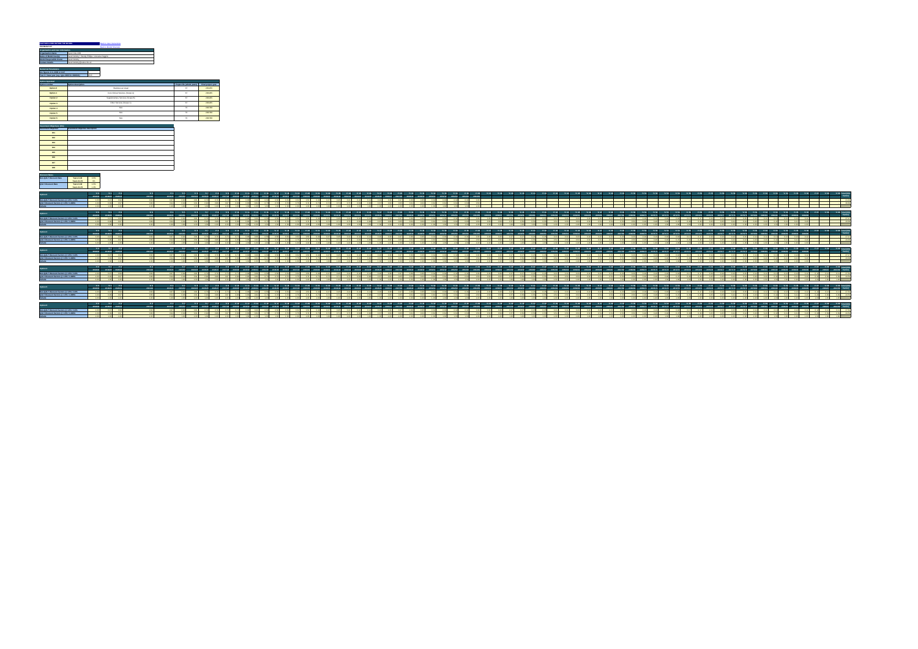| <b>Organisation and User In</b><br><b>Organisation Name</b><br>Name of Model User(s)<br>Model Responsible Owner Sarah Welsby<br>Contact Details Sarah Welsby@wales.rhs.uk<br><b>Numerical Parameters</b><br>Are figures in £, £000 or £m?<br>Year 0 / base year (e.g. type 2020 for 2020/21) 2018<br>Option Appraisal<br>Option number<br>Option 0<br>Option 1<br>Option 2<br>Option 3<br>Option 4<br>Ontion 5<br>Option 6<br>estment Objective | Back to User Instructio<br>Hywel Dda UHB<br>Sarah Walsby / Wandy Philips / Anouska Huggins<br>ption description<br>Business as Usual<br>Core Clinical Services (Scope A)<br>Supplementary Services (Scope B<br>Other Services (Scope C)<br><b>N/A</b><br>N/A<br><b>N/A</b> | Project life (whole years) Final project year<br>37<br>2054/55<br>67<br>2084/85<br>67<br>2084/85<br>67<br>2084/85<br>70<br>2087/88<br>2087/88<br>70<br>70<br>2087/88 |                                                                                                                                                                                                                                                                      |                                                                                                               |                                                                              |                                                      |                                              |                             |                           |                                               |                                                                                                         |                                                                         |                                                                                                                 |                                                                                                                                                                                                                                                     |
|-------------------------------------------------------------------------------------------------------------------------------------------------------------------------------------------------------------------------------------------------------------------------------------------------------------------------------------------------------------------------------------------------------------------------------------------------|----------------------------------------------------------------------------------------------------------------------------------------------------------------------------------------------------------------------------------------------------------------------------|----------------------------------------------------------------------------------------------------------------------------------------------------------------------|----------------------------------------------------------------------------------------------------------------------------------------------------------------------------------------------------------------------------------------------------------------------|---------------------------------------------------------------------------------------------------------------|------------------------------------------------------------------------------|------------------------------------------------------|----------------------------------------------|-----------------------------|---------------------------|-----------------------------------------------|---------------------------------------------------------------------------------------------------------|-------------------------------------------------------------------------|-----------------------------------------------------------------------------------------------------------------|-----------------------------------------------------------------------------------------------------------------------------------------------------------------------------------------------------------------------------------------------------|
| 101<br>102<br>103<br>104<br>105<br>106<br><b>IOT</b><br>108<br>count Rates<br>ALY Discount Rate<br><b>O noise</b>                                                                                                                                                                                                                                                                                                                               | <b>Years 0-30</b><br>ears 31-70<br><b>Years 0-30</b><br>1.5%<br>Yro Yrs Yrs                                                                                                                                                                                                | Yr 3                                                                                                                                                                 |                                                                                                                                                                                                                                                                      |                                                                                                               |                                                                              |                                                      |                                              |                             |                           |                                               |                                                                                                         |                                                                         |                                                                                                                 | Factori                                                                                                                                                                                                                                             |
| Non-QALY Discount Factors @ 3.5% / 3.0%<br>QALY Discount Factors @ 1.5% / 1.286%<br>Include<br>Non-QALY Discount Factors @ 3.5%/3.0%<br>QALY Discount Factors @ 1.5% / 1.286%<br>Include                                                                                                                                                                                                                                                        | 2018/19 2019/20 2020/21<br>2021/22<br>Yr0 Yr1 Yr2<br>2018/19 2019/20 2020/21<br>2021/22<br>0.97<br>$0.99$ $0.97$                                                                                                                                                           | 0.81<br>0.94<br>1.00 1.00 1.00 1.00                                                                                                                                  | 2022/23 2023/24 2024/25 2025/26 2026/27 2027/28 2026/29 2029/30 2030/31 203/35 2033/38 2033/38 2033/39 2030/40 2040/41 2041/42 2042/43 2043/44 2040/46 2040/46 2040/48 2040/49 2040/69 2050/51 2050/51 2052/53 2053/54 2050/55<br>1.00 1.00 1.00 1.00 1.00 1.00 1.00 | 1.00                                                                                                          | 1.00 1.00 1.00 1.00<br>1.00                                                  | 1.00<br>1.00<br>1.00                                 | 0.58                                         | 0.57 0.56 0.56 0.55<br>0.54 | 0.63<br>0.53<br>0.51 0.51 | 0.50<br>0.50<br>1.00                          | $0.49$ $0.48$ $0.48$ $0.47$ $0.46$ $0.46$<br>1.00                                                       | $0.45$ $0.45$ $0.44$                                                    | $0.44$ $0.43$ $0.43$ $0.42$ $0.41$ $0.41$ $0.40$                                                                | - 3.38                                                                                                                                                                                                                                              |
| Non-QALY Discount Factors @ 3.5% / 3.0%<br>QALY Discount Factors @ 1.5% / 1.286%<br>Include<br>Option 3<br>Non-QALY Discount Factors @ 3.5% / 3.0%                                                                                                                                                                                                                                                                                              | Yr0 Yr1 Yr2<br>2018/19 2019/20 2020/21<br>2021/22<br>$0.97$ $0.93$<br>0.90<br>Yr0 Yr1 Yr2<br>2018/19 2019/20 2020/21<br>2021/22                                                                                                                                            | 0.79<br>0.81<br>0.87<br>0.84                                                                                                                                         | 0.68                                                                                                                                                                                                                                                                 | 0.49                                                                                                          | 0.38 0.37                                                                    | 0.35<br>0.38<br>0.34                                 | 0.30                                         |                             |                           | 0.19                                          | <u>0.22 0.21 0.20 0.20 0.19 0.19 0.18 0.18 0.17 0.17 0.16 0.16 0.15 0.15 0.14 0.14 0.13 0.13 0.13</u>   |                                                                         |                                                                                                                 | $\frac{27.17}{43.36}$<br>Factori                                                                                                                                                                                                                    |
| QALY Discount Factors @ 1.5% / 1.286%<br>Include<br>Non-QALY Discount Factors @ 3.5% / 3.0%<br>QALY Discount Factors @ 1.5% / 1.2869<br>Include                                                                                                                                                                                                                                                                                                 | Yr0 Yr1 Yr2<br>2018/19 2019/20 2020/21<br>2021/22<br>0.97                                                                                                                                                                                                                  | 0.94<br>0.96<br>0.93<br>$0.90$ $0.89$<br>0.87<br>0.84<br>0.94                                                                                                        | 0.87<br>0.88<br>0.85<br>021 029 029 023 023 029 069 069 059 059 059 059 050 060 047 045 044 042 041 040 059 037<br>0.91 0.90 0.89 0.87 0.88 0.85 0.84 0.79 0.78 0.76 0.75 0.74 0.73                                                                                  | $\begin{array}{c cc} 0.54 & 0.52 & 0.50 \\ \hline 0.76 & 0.75 & 0.74 \end{array}$<br>1.00 1.00 1.00 1.00 1.00 | $0.68$ $0.67$<br>0.68<br>$0.72$ $0.71$ $0.70$ $0.69$ $0.68$                  | 0.63<br>0.62<br>0.62<br>$0.36$ $0.35$ $0.34$<br>0.33 | 0.59<br>$0.31$ $0.30$ $0.29$<br>0.28<br>0.27 | 0.24                        | 0.21<br>0.24<br>0.23      | 0.20<br>0.20<br>0.19<br>0.19                  | $\frac{0.16}{0.45}$<br>0.46<br>0.46<br>0.18  0.17  0.17  0.16  0.16  0.15                               | 0.44<br>0.44<br>$0.43$ $0.43$<br>0.15<br>$0.14$ $0.14$<br>$0.45$ $0.44$ | 0.42<br>$0.44$ $0.43$ $0.43$ $0.42$ $0.41$ $0.41$                                                               | 43.38                                                                                                                                                                                                                                               |
| Non-QALY Discount Factors @ 3.5% / 3.0%<br>QALY Discount Factors @ 1.5% / 1.286%<br>lotion 6<br>Non-QALY Discount Factors @ 3.5% / 3.0%<br>QALY Discount Factors @ 1.5% / 1.286%                                                                                                                                                                                                                                                                | Yro Yri Yr2<br>2018/19 2019/20 2020/21<br>2021/22<br>Yro Yri Yr2<br>2018/19 2019/20 2020/21<br>2021/22<br>0.97                                                                                                                                                             | 0.84<br>0.91<br>0.90<br>0.89 0.87<br>1.00 1.00 1.00 1.00<br>$0.91$ 0.90                                                                                              | 0.85 0.84 0.79<br>1.00<br>0.89 0.87 0.86 0.85 0.84 0.79 0.78                                                                                                                                                                                                         | 0.76 0.75 0.74<br>0.73<br>$0.76$ $0.75$ $0.74$ $0.73$                                                         | $0.71$ $0.70$<br>$0.69$ $0.68$<br>0.67 0.68 0.65<br>1.00 1.00 1.00 1.00 1.00 | 0.63<br>0.62<br>0.62<br>1.00<br>1.00<br>1.00<br>1.00 | 0.29<br>0.28<br>0.27<br>0.59<br>1.00         | 0.26<br>0.25<br>0.24        | 0.24<br>0.23              | $0.21$ $0.20$<br>0.20<br>0.50<br>1.00<br>1.00 | 0.19 0.19 0.18 0.18 0.17 0.17 0.16 0.16 0.15 0.15 0.14 0.14 0.13 0.13 0.13 0.12<br>0.47<br>0.46<br>0.46 | $0.44$ $0.43$<br>0.44<br>1.00 1.00 1.00 1.00<br>1.00<br>1.00<br>0.44    | 0.41<br>$0.43$ $0.42$ $0.41$<br>0.40<br>1.00<br>1.00<br>0.44 0.43 0.43 0.42 0.41 0.41 0.40 0.40 0.39 0.39 44.54 | $0.40\qquad 0.30$<br>$1.00$ $[3]$ $[3]$ $[3]$ $[3]$ $[3]$ $[3]$ $[3]$ $[3]$ $[3]$ $[3]$ $[3]$ $[3]$ $[3]$ $[3]$ $[3]$ $[3]$ $[3]$ $[3]$ $[3]$ $[3]$ $[3]$ $[3]$ $[3]$ $[3]$ $[3]$ $[3]$ $[3]$ $[3]$ $[3]$ $[3]$ $[3]$ $[3]$ $[3]$ $[3]$ $[3]$ $[3]$ |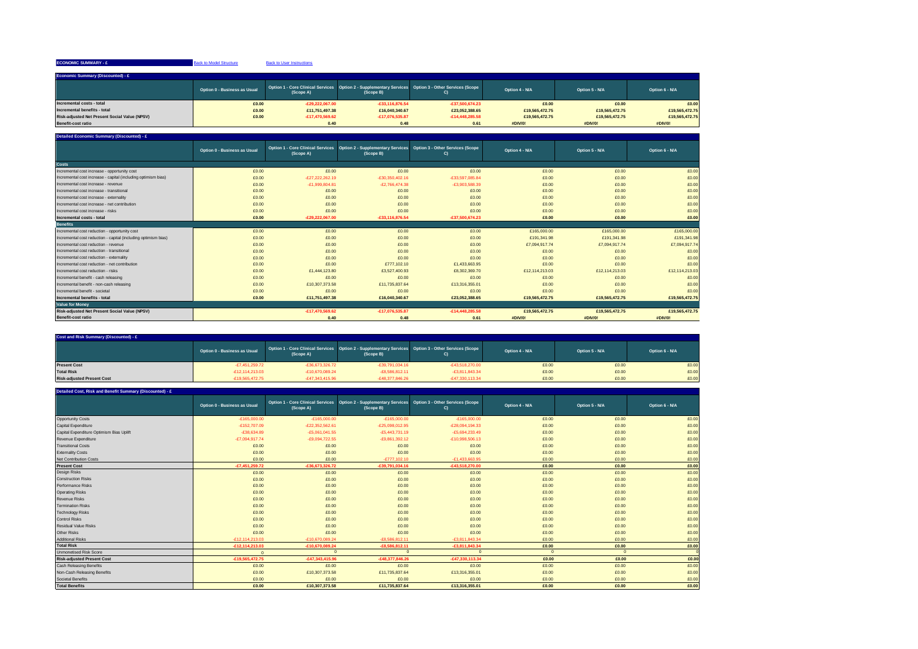**ECONOMIC SUMMARY - £** Back to Model Structure Back to Model Structure Back to User Instructions

**Economic Summary (Discounted) - £** Option 0 - Business as Usual Option 1 - Core Clinical Services Option 2 - Supplementary Services (Sopter Services (Scope ) option 4 - N/A Option 5 - N/A Option 5 - N/A Option 6 - N/A Option 6 - N/A Option 6 - N/A Option 6 **Incremental costs - total £0.00 -£29,222,067.00 -£33,116,876.54 -£37,500,674.23 £0.00 £0.00 £0.00 Incremental benefits - total £0.00 £11,751,497.38 £16,040,340.67 £23,052,388.65 £19,565,472.75 £19,565,472.75 £19,565,472.75** Notemental benefits -total control adjusted Net Present Control and Control and Control and Control and Control and Control and Control and Control and Control and Control and Control and Control and Control and Control a **Benefit-cost ratio 0.40 0.48 0.61 #DIV/0! #DIV/0! #DIV/0!**

| Detailed Economic Summary (Discounted) - £                     |                              |                   |                                                                                                                       |                   |                |                |                |
|----------------------------------------------------------------|------------------------------|-------------------|-----------------------------------------------------------------------------------------------------------------------|-------------------|----------------|----------------|----------------|
|                                                                | Option 0 - Business as Usual | (Scope A)         | Option 1 - Core Clinical Services   Option 2 - Supplementary Services   Option 3 - Other Services (Scope<br>(Scope B) | C)                | Option 4 - N/A | Option 5 - N/A | Option 6 - N/A |
| <b>Costs</b>                                                   |                              |                   |                                                                                                                       |                   |                |                |                |
| Incremental cost increase - opportunity cost                   | £0.00                        | £0.00             | £0.00                                                                                                                 | £0.00             | £0.00          | £0.00          | £0.00          |
| Incremental cost increase - capital (including optimism bias)  | £0.00                        | $-E27.222.262.19$ | $-£30.350.402.16$                                                                                                     | $-£33.597.085.84$ | £0.00          | £0.00          | £0.00          |
| Incremental cost increase - revenue                            | £0.00                        | $-E1.999.804.81$  | $-E2.766.474.38$                                                                                                      | -£3.903.588.39    | £0.00          | £0.00          | £0.00          |
| Incremental cost increase - transitional                       | £0.00                        | £0.00             | £0.00                                                                                                                 | £0.00             | £0.00          | £0.00          | £0.00          |
| Incremental cost increase - externality                        | £0.00                        | £0.00             | £0.00                                                                                                                 | £0.00             | £0.00          | £0.00          | £0.00          |
| Incremental cost increase - net contribution                   | £0.00                        | £0.00             | £0.00                                                                                                                 | £0.00             | £0.00          | £0.00          | £0.00          |
| Incremental cost increase - risks                              | £0.00                        | £0.00             | £0.00                                                                                                                 | £0.00             | £0.00          | £0.00          | £0.00          |
| Incremental costs - total                                      | £0.00                        | $-E29.222.067.00$ | -£33,116,876,54                                                                                                       | $-£37,500.674.23$ | £0.00          | £0.00          | £0.00          |
| <b>Benefits</b>                                                |                              |                   |                                                                                                                       |                   |                |                |                |
| Incremental cost reduction - opportunity cost                  | £0.00                        | £0.00             | £0.00                                                                                                                 | £0.00             | £165,000.00    | £165,000.00    | £165,000.00    |
| Incremental cost reduction - capital (including optimism bias) | £0.00                        | £0.00             | £0.00                                                                                                                 | £0.00             | £191.341.98    | £191,341.98    | £191,341,98    |
| Incremental cost reduction - revenue                           | £0.00                        | £0.00             | £0.00                                                                                                                 | £0.00             | £7,094,917,74  | £7.094.917.74  | £7,094,917,74  |
| Incremental cost reduction - transitional                      | £0.00                        | £0.00             | £0.00                                                                                                                 | £0.00             | £0.00          | £0.00          | £0.00          |
| Incremental cost reduction - externality                       | £0.00                        | £0.00             | £0.00                                                                                                                 | £0.00             | £0.00          | £0.00          | £0.00          |
| Incremental cost reduction - net contribution                  | £0.00                        | £0.00             | £777,102.10                                                                                                           | £1.433,663.95     | £0.00          | £0.00          | £0.00          |
| Incremental cost reduction - risks                             | £0.00                        | £1,444,123,80     | £3,527,400.93                                                                                                         | £8,302,369.70     | £12.114.213.03 | £12.114.213.03 | £12.114.213.03 |
| Incremental benefit - cash releasing                           | £0.00                        | £0.00             | £0.00                                                                                                                 | £0.00             | £0.00          | £0.00          | £0.00          |
| Incremental benefit - non-cash releasing                       | £0.00                        | £10,307,373,58    | £11,735,837,64                                                                                                        | £13,316,355.01    | £0.00          | £0.00          | £0.00          |
| Incremental benefit - societal                                 | £0.00                        | £0.00             | £0.00                                                                                                                 | £0.00             | £0.00          | £0.00          | £0.00          |
| Incremental benefits - total                                   | £0.00                        | £11,751,497.38    | £16,040,340.67                                                                                                        | £23.052.388.65    | £19,565,472.75 | £19,565,472.75 | £19,565,472.75 |
| <b>Value for Money</b>                                         |                              |                   |                                                                                                                       |                   |                |                |                |
| Risk-adjusted Net Present Social Value (NPSV)                  |                              | -£17.470.569.62   | -£17.076.535.87                                                                                                       | $-£14.448.285.58$ | £19,565,472.75 | £19,565,472.75 | £19,565,472.75 |
| <b>Benefit-cost ratio</b>                                      |                              | 0.40              | 0.48                                                                                                                  | 0.61              | #DIV/0!        | #DIV/0!        | #DIV/0!        |

| Cost and Risk Summary (Discounted) - £ |                              |                   |                                                                                                                       |                   |                |                |                |  |  |  |  |  |  |  |
|----------------------------------------|------------------------------|-------------------|-----------------------------------------------------------------------------------------------------------------------|-------------------|----------------|----------------|----------------|--|--|--|--|--|--|--|
|                                        | Option 0 - Business as Usual | (Scope A)         | Option 1 - Core Clinical Services   Option 2 - Supplementary Services   Option 3 - Other Services (Scope<br>(Scope B) |                   | Option 4 - N/A | Option 5 - N/A | Option 6 - N/A |  |  |  |  |  |  |  |
| <b>Present Cost</b>                    | $-E7,451,259.72$             | -£36.673.326.72   | $-£39.791.034.16$                                                                                                     | $-E43.518.270.00$ | £0.00          | £0.00          | £0.00          |  |  |  |  |  |  |  |
| <b>Total Risk</b>                      | $-E12.114.213.03$            | -£10.670.089.24   | $-E8.586.812.11$                                                                                                      | $-£3.811.843.34$  | £0.00          | £0.00          | £0.00          |  |  |  |  |  |  |  |
| <b>Risk-adjusted Present Cost</b>      | $-E19.565.472.75$            | $-E47.343.415.96$ | $-E48.377.846.26$                                                                                                     | $-E47.330.113.34$ | £0.00          | £0.00          | £0.00          |  |  |  |  |  |  |  |

| Detailed Cost, Risk and Benefit Summary (Discounted) - £ |                              |                   |                                                                                                                       |                   |                |                |                |
|----------------------------------------------------------|------------------------------|-------------------|-----------------------------------------------------------------------------------------------------------------------|-------------------|----------------|----------------|----------------|
|                                                          | Option 0 - Business as Usual | (Scope A)         | Option 1 - Core Clinical Services   Option 2 - Supplementary Services   Option 3 - Other Services (Scope<br>(Scope B) | C)                | Option 4 - N/A | Option 5 - N/A | Option 6 - N/A |
| <b>Opportunity Costs</b>                                 | $-£165,000.00$               | $-£165,000,00$    | $-£165,000.00$                                                                                                        | $-£165,000,00$    | £0.00          | £0.00          | £0.00          |
| Capital Expenditure                                      | $-E152.707.09$               | $-£22.352.562.61$ | $-E25.098.012.95$                                                                                                     | $-E28.094.194.33$ | £0.00          | £0.00          | £0.00          |
| Capital Expenditure Optimism Bias Uplift                 | $-£38.634.89$                | $-E5.061.041.55$  | $-E5.443.731.19$                                                                                                      | $-£5.694.233.49$  | £0.00          | £0.00          | £0.00          |
| Revenue Expenditure                                      | $-E7,094,917.74$             | -£9.094.722.55    | -£9,861,392.12                                                                                                        | $-£10.998.506.13$ | £0.00          | £0.00          | £0.00          |
| <b>Transitional Costs</b>                                | £0.00                        | £0.00             | £0.00                                                                                                                 | £0.00             | £0.00          | £0.00          | £0.00          |
| <b>Externality Costs</b>                                 | £0.00                        | £0.00             | £0.00                                                                                                                 | £0.00             | £0.00          | £0.00          | £0.00          |
| <b>Net Contribution Costs</b>                            | £0.00                        | £0.00             | $-£777.102.10$                                                                                                        | $-E1.433.663.95$  | £0.00          | £0.00          | £0.00          |
| <b>Present Cost</b>                                      | $-£7.451.259.72$             | $-£36.673.326.72$ | $-£39.791.034.16$                                                                                                     | $-£43,518,270,00$ | £0.00          | £0.00          | £0.00          |
| <b>Design Risks</b>                                      | £0.00                        | £0.00             | £0.00                                                                                                                 | £0.00             | £0.00          | £0.00          | £0.00          |
| <b>Construction Risks</b>                                | £0.00                        | £0.00             | £0.00                                                                                                                 | £0.00             | £0.00          | £0.00          | £0.00          |
| Performance Risks                                        | £0.00                        | £0.00             | £0.00                                                                                                                 | £0.00             | £0.00          | £0.00          | £0.00          |
| <b>Operating Risks</b>                                   | £0.00                        | £0.00             | £0.00                                                                                                                 | £0.00             | £0.00          | £0.00          | £0.00          |
| <b>Revenue Risks</b>                                     | £0.00                        | £0.00             | £0.00                                                                                                                 | £0.00             | £0.00          | £0.00          | £0.00          |
| <b>Termination Risks</b>                                 | £0.00                        | £0.00             | £0.00                                                                                                                 | £0.00             | £0.00          | £0.00          | £0.00          |
| <b>Technology Risks</b>                                  | £0.00                        | £0.00             | £0.00                                                                                                                 | £0.00             | £0.00          | £0.00          | £0.00          |
| <b>Control Risks</b>                                     | £0.00                        | £0.00             | £0.00                                                                                                                 | £0.00             | £0.00          | £0.00          | £0.00          |
| <b>Residual Value Risks</b>                              | £0.00                        | £0.00             | £0.00                                                                                                                 | £0.00             | £0.00          | £0.00          | £0.00          |
| <b>Other Risks</b>                                       | £0.00                        | £0.00             | £0.00                                                                                                                 | £0.00             | £0.00          | £0.00          | £0.00          |
| <b>Additional Risks</b>                                  | $-E12.114.213.03$            | -£10.670.089.24   | $-£8.586.812.11$                                                                                                      | $-£3.811.843.34$  | £0.00          | £0.00          | £0.00          |
| <b>Total Risk</b>                                        | $-E12.114.213.03$            | $-£10.670.089.24$ | $-£8.586.812.11$                                                                                                      | $-£3.811.843.34$  | £0.00          | £0.00          | £0.00          |
| <b>Unmonetised Risk Score</b>                            | $\Omega$                     | $\sqrt{2}$        |                                                                                                                       | $\Omega$          | $\Omega$       | $\Omega$       |                |
| <b>Risk-adjusted Present Cost</b>                        | $-£19.565.472.75$            | $-£47,343,415,96$ | $-£48.377.846.26$                                                                                                     | $-£47,330,113,34$ | £0.00          | £0.00          | £0.00          |
| Cash Releasing Benefits                                  | £0.00                        | £0.00             | £0.00                                                                                                                 | £0.00             | £0.00          | £0.00          | £0.00          |
| Non-Cash Releasing Benefits                              | £0.00                        | £10,307,373.58    | £11,735,837.64                                                                                                        | £13,316,355.01    | £0.00          | £0.00          | £0.00          |
| <b>Societal Benefits</b>                                 | £0.00                        | £0.00             | £0.00                                                                                                                 | £0.00             | £0.00          | £0.00          | £0.00          |
| <b>Total Benefits</b>                                    | £0.00                        | £10,307,373,58    | £11.735.837.64                                                                                                        | £13,316,355.01    | £0.00          | £0.00          | £0.00          |